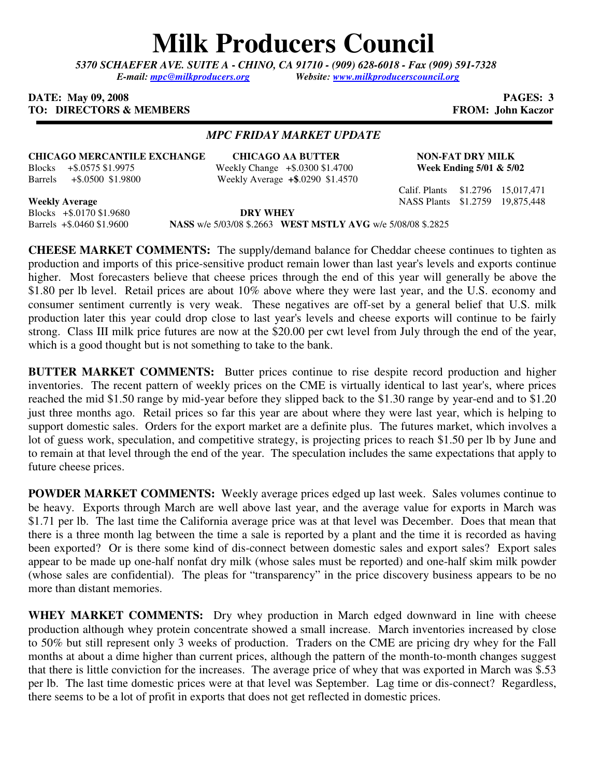# **Milk Producers Council**

*5370 SCHAEFER AVE. SUITE A* **-** *CHINO, CA 91710 - (909) 628-6018 - Fax (909) 591-7328 E-mail: mpc@milkproducers.org Website: www.milkproducerscouncil.org* 

#### **DATE:** May 09, 2008 **PAGES: 3 TO: DIRECTORS & MEMBERS FROM: John Kaczor**

### *MPC FRIDAY MARKET UPDATE*

**CHICAGO MERCANTILE EXCHANGE** CHICAGO AA BUTTER NON-FAT DRY MILK<br>Blocks +\$.0575 \$1.9975 Weekly Change +\$.0300 \$1.4700 Week Ending 5/01 & 5/02 Blocks + \$.0575 \$1.9975 Weekly Change + \$.0300 \$1.4700 Barrels +\$.0500 \$1.9800 Weekly Average **+\$**.0290 \$1.4570

Blocks +\$.0170 \$1.9680 **DRY WHEY**  Barrels +\$.0460 \$1.9600 **NASS** w/e 5/03/08 \$.2663 **WEST MSTLY AVG** w/e 5/08/08 \$.2825

**CHEESE MARKET COMMENTS:** The supply/demand balance for Cheddar cheese continues to tighten as production and imports of this price-sensitive product remain lower than last year's levels and exports continue higher. Most forecasters believe that cheese prices through the end of this year will generally be above the \$1.80 per lb level. Retail prices are about 10% above where they were last year, and the U.S. economy and consumer sentiment currently is very weak. These negatives are off-set by a general belief that U.S. milk production later this year could drop close to last year's levels and cheese exports will continue to be fairly strong. Class III milk price futures are now at the \$20.00 per cwt level from July through the end of the year, which is a good thought but is not something to take to the bank.

**BUTTER MARKET COMMENTS:** Butter prices continue to rise despite record production and higher inventories. The recent pattern of weekly prices on the CME is virtually identical to last year's, where prices reached the mid \$1.50 range by mid-year before they slipped back to the \$1.30 range by year-end and to \$1.20 just three months ago. Retail prices so far this year are about where they were last year, which is helping to support domestic sales. Orders for the export market are a definite plus. The futures market, which involves a lot of guess work, speculation, and competitive strategy, is projecting prices to reach \$1.50 per lb by June and to remain at that level through the end of the year. The speculation includes the same expectations that apply to future cheese prices.

**POWDER MARKET COMMENTS:** Weekly average prices edged up last week. Sales volumes continue to be heavy. Exports through March are well above last year, and the average value for exports in March was \$1.71 per lb. The last time the California average price was at that level was December. Does that mean that there is a three month lag between the time a sale is reported by a plant and the time it is recorded as having been exported? Or is there some kind of dis-connect between domestic sales and export sales? Export sales appear to be made up one-half nonfat dry milk (whose sales must be reported) and one-half skim milk powder (whose sales are confidential). The pleas for "transparency" in the price discovery business appears to be no more than distant memories.

WHEY MARKET COMMENTS: Dry whey production in March edged downward in line with cheese production although whey protein concentrate showed a small increase. March inventories increased by close to 50% but still represent only 3 weeks of production. Traders on the CME are pricing dry whey for the Fall months at about a dime higher than current prices, although the pattern of the month-to-month changes suggest that there is little conviction for the increases. The average price of whey that was exported in March was \$.53 per lb. The last time domestic prices were at that level was September. Lag time or dis-connect? Regardless, there seems to be a lot of profit in exports that does not get reflected in domestic prices.

Calif. Plants \$1.2796 15,017,471 **Weekly Average** NASS Plants \$1.2759 19,875,448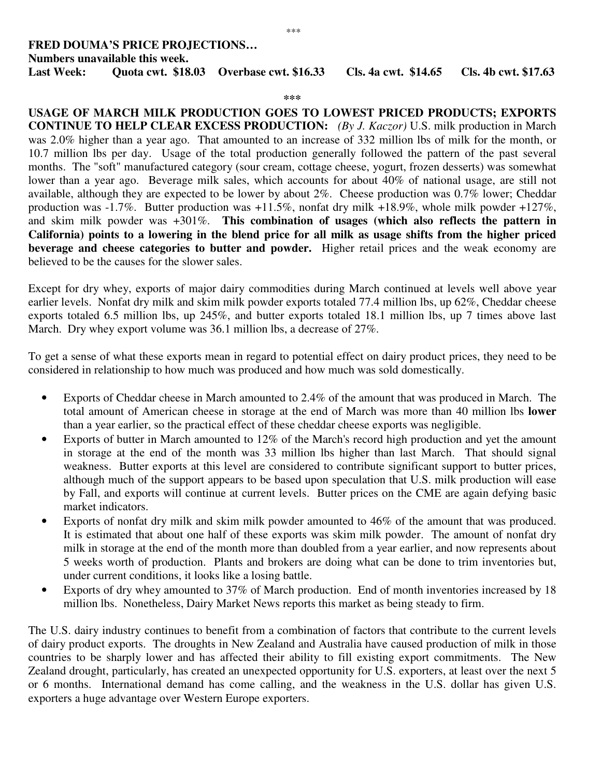## **FRED DOUMA'S PRICE PROJECTIONS… Numbers unavailable this week. Last Week: Quota cwt. \$18.03 Overbase cwt. \$16.33 Cls. 4a cwt. \$14.65 Cls. 4b cwt. \$17.63**

**\*\*\***

**USAGE OF MARCH MILK PRODUCTION GOES TO LOWEST PRICED PRODUCTS; EXPORTS CONTINUE TO HELP CLEAR EXCESS PRODUCTION:** *(By J. Kaczor)* U.S. milk production in March was 2.0% higher than a year ago. That amounted to an increase of 332 million lbs of milk for the month, or 10.7 million lbs per day. Usage of the total production generally followed the pattern of the past several months. The "soft" manufactured category (sour cream, cottage cheese, yogurt, frozen desserts) was somewhat lower than a year ago. Beverage milk sales, which accounts for about 40% of national usage, are still not available, although they are expected to be lower by about 2%. Cheese production was 0.7% lower; Cheddar production was -1.7%. Butter production was +11.5%, nonfat dry milk +18.9%, whole milk powder +127%, and skim milk powder was +301%. **This combination of usages (which also reflects the pattern in California) points to a lowering in the blend price for all milk as usage shifts from the higher priced beverage and cheese categories to butter and powder.** Higher retail prices and the weak economy are believed to be the causes for the slower sales.

Except for dry whey, exports of major dairy commodities during March continued at levels well above year earlier levels. Nonfat dry milk and skim milk powder exports totaled 77.4 million lbs, up 62%, Cheddar cheese exports totaled 6.5 million lbs, up 245%, and butter exports totaled 18.1 million lbs, up 7 times above last March. Dry whey export volume was 36.1 million lbs, a decrease of 27%.

To get a sense of what these exports mean in regard to potential effect on dairy product prices, they need to be considered in relationship to how much was produced and how much was sold domestically.

- Exports of Cheddar cheese in March amounted to 2.4% of the amount that was produced in March. The total amount of American cheese in storage at the end of March was more than 40 million lbs **lower** than a year earlier, so the practical effect of these cheddar cheese exports was negligible.
- Exports of butter in March amounted to 12% of the March's record high production and yet the amount in storage at the end of the month was 33 million lbs higher than last March. That should signal weakness. Butter exports at this level are considered to contribute significant support to butter prices, although much of the support appears to be based upon speculation that U.S. milk production will ease by Fall, and exports will continue at current levels. Butter prices on the CME are again defying basic market indicators.
- Exports of nonfat dry milk and skim milk powder amounted to 46% of the amount that was produced. It is estimated that about one half of these exports was skim milk powder. The amount of nonfat dry milk in storage at the end of the month more than doubled from a year earlier, and now represents about 5 weeks worth of production. Plants and brokers are doing what can be done to trim inventories but, under current conditions, it looks like a losing battle.
- Exports of dry whey amounted to 37% of March production. End of month inventories increased by 18 million lbs. Nonetheless, Dairy Market News reports this market as being steady to firm.

The U.S. dairy industry continues to benefit from a combination of factors that contribute to the current levels of dairy product exports. The droughts in New Zealand and Australia have caused production of milk in those countries to be sharply lower and has affected their ability to fill existing export commitments. The New Zealand drought, particularly, has created an unexpected opportunity for U.S. exporters, at least over the next 5 or 6 months. International demand has come calling, and the weakness in the U.S. dollar has given U.S. exporters a huge advantage over Western Europe exporters.